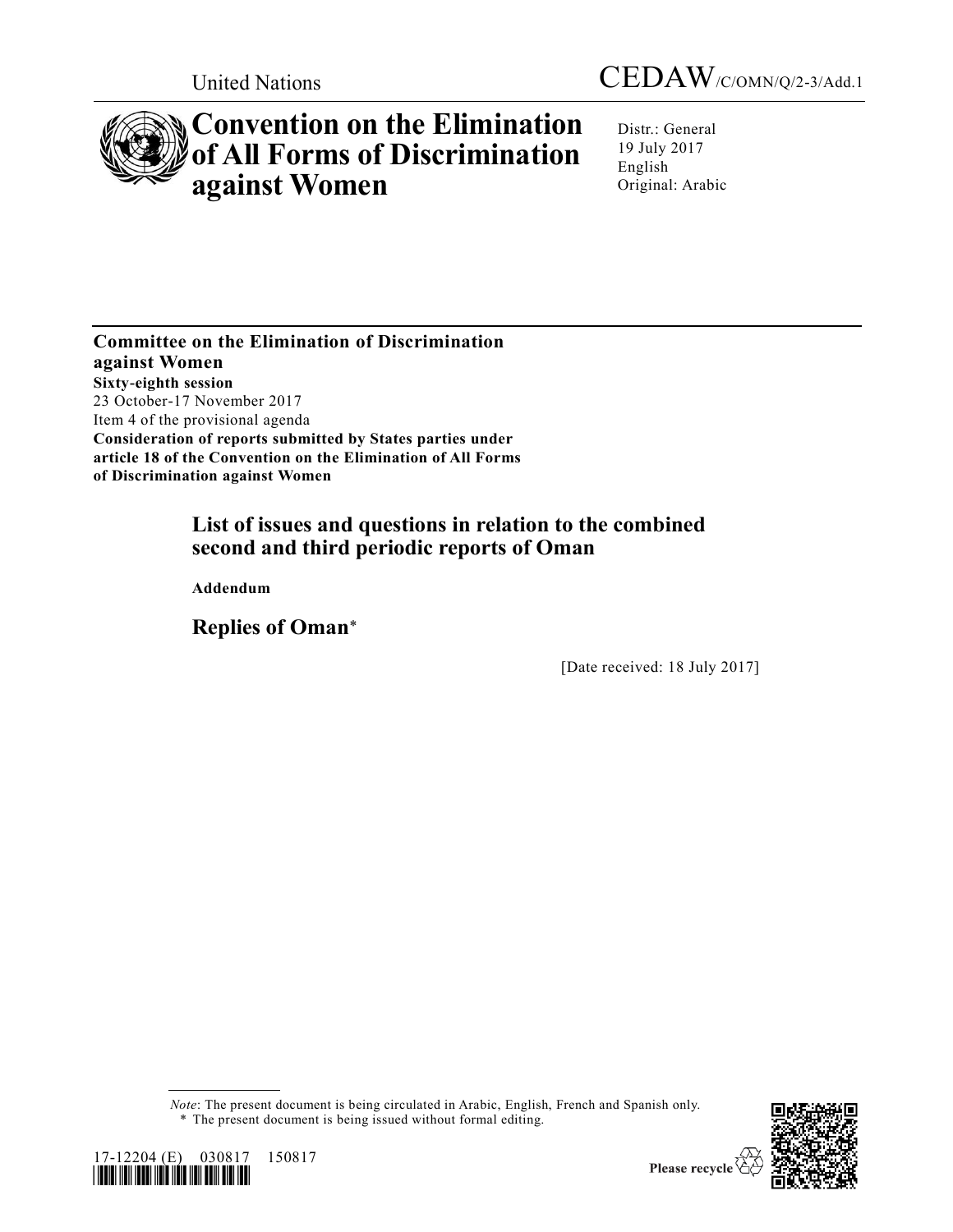



# **Convention on the Elimination of All Forms of Discrimination against Women**

Distr.: General 19 July 2017 English Original: Arabic

**Committee on the Elimination of Discrimination against Women Sixty-eighth session**  23 October-17 November 2017 Item 4 of the provisional agenda **Consideration of reports submitted by States parties under article 18 of the Convention on the Elimination of All Forms of Discrimination against Women**

# **List of issues and questions in relation to the combined second and third periodic reports of Oman**

**Addendum**

**Replies of Oman**\*

[Date received: 18 July 2017]

*Note*: The present document is being circulated in Arabic, English, French and Spanish only. \* The present document is being issued without formal editing.





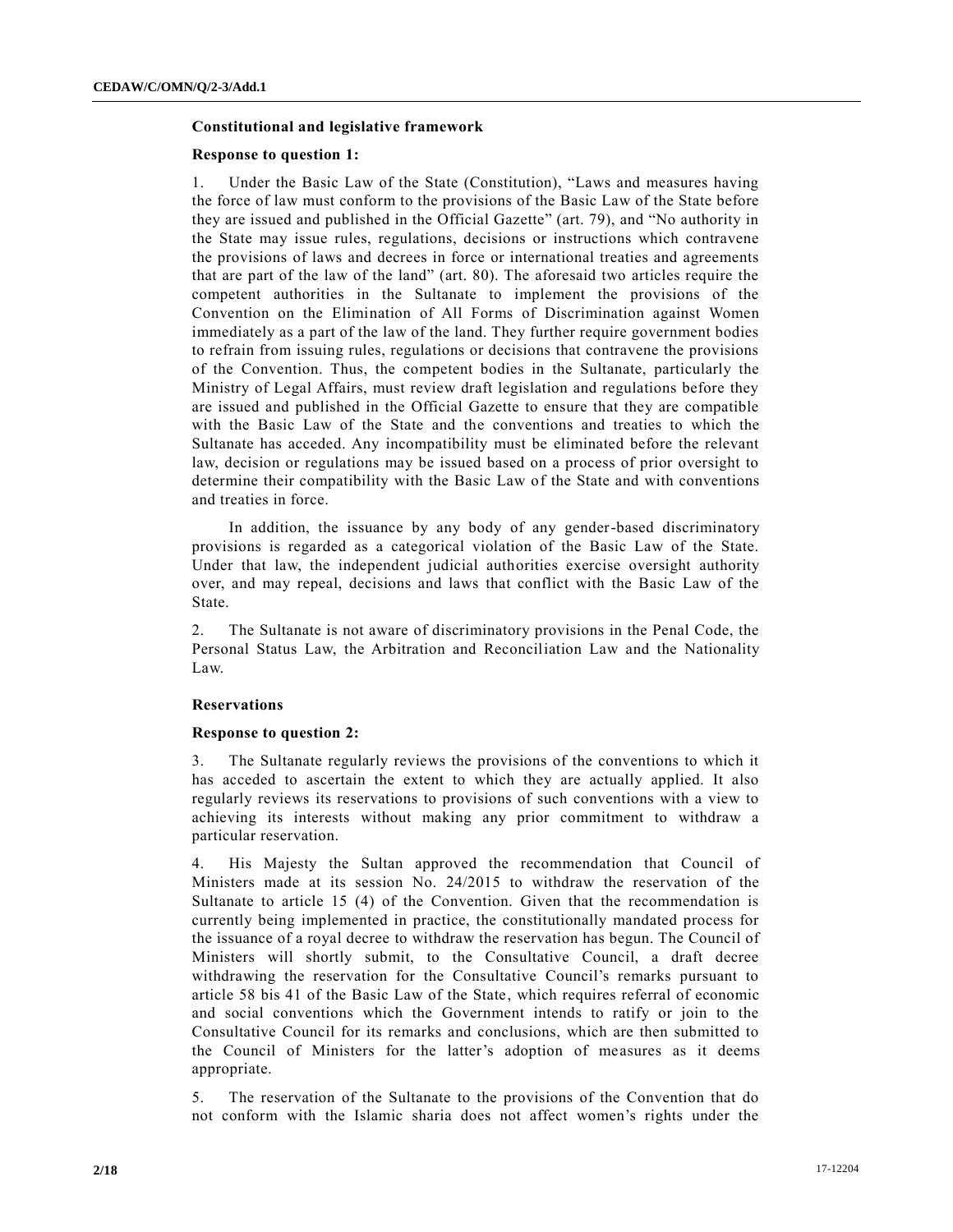# **Constitutional and legislative framework**

# **Response to question 1:**

1. Under the Basic Law of the State (Constitution), "Laws and measures having the force of law must conform to the provisions of the Basic Law of the State before they are issued and published in the Official Gazette" (art. 79), and "No authority in the State may issue rules, regulations, decisions or instructions which contravene the provisions of laws and decrees in force or international treaties and agreements that are part of the law of the land" (art. 80). The aforesaid two articles require the competent authorities in the Sultanate to implement the provisions of the Convention on the Elimination of All Forms of Discrimination against Women immediately as a part of the law of the land. They further require government bodies to refrain from issuing rules, regulations or decisions that contravene the provisions of the Convention. Thus, the competent bodies in the Sultanate, particularly the Ministry of Legal Affairs, must review draft legislation and regulations before they are issued and published in the Official Gazette to ensure that they are compatible with the Basic Law of the State and the conventions and treaties to which the Sultanate has acceded. Any incompatibility must be eliminated before the relevant law, decision or regulations may be issued based on a process of prior oversight to determine their compatibility with the Basic Law of the State and with conventions and treaties in force.

In addition, the issuance by any body of any gender-based discriminatory provisions is regarded as a categorical violation of the Basic Law of the State. Under that law, the independent judicial authorities exercise oversight authority over, and may repeal, decisions and laws that conflict with the Basic Law of the State.

2. The Sultanate is not aware of discriminatory provisions in the Penal Code, the Personal Status Law, the Arbitration and Reconciliation Law and the Nationality Law.

# **Reservations**

#### **Response to question 2:**

3. The Sultanate regularly reviews the provisions of the conventions to which it has acceded to ascertain the extent to which they are actually applied. It also regularly reviews its reservations to provisions of such conventions with a view to achieving its interests without making any prior commitment to withdraw a particular reservation.

4. His Majesty the Sultan approved the recommendation that Council of Ministers made at its session No. 24/2015 to withdraw the reservation of the Sultanate to article 15 (4) of the Convention. Given that the recommendation is currently being implemented in practice, the constitutionally mandated process for the issuance of a royal decree to withdraw the reservation has begun. The Council of Ministers will shortly submit, to the Consultative Council, a draft decree withdrawing the reservation for the Consultative Council's remarks pursuant to article 58 bis 41 of the Basic Law of the State, which requires referral of economic and social conventions which the Government intends to ratify or join to the Consultative Council for its remarks and conclusions, which are then submitted to the Council of Ministers for the latter's adoption of measures as it deems appropriate.

5. The reservation of the Sultanate to the provisions of the Convention that do not conform with the Islamic sharia does not affect women's rights under the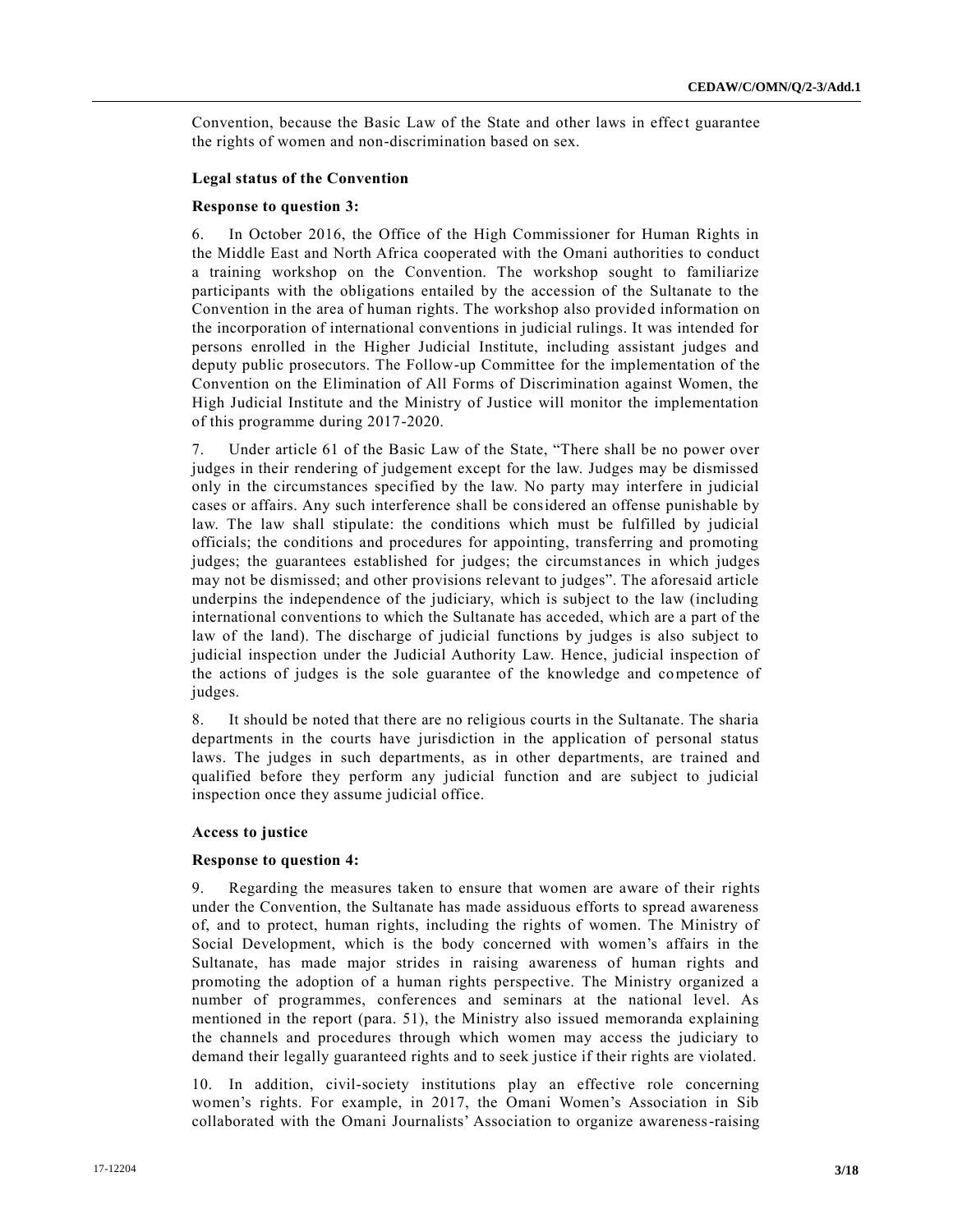Convention, because the Basic Law of the State and other laws in effect guarantee the rights of women and non-discrimination based on sex.

# **Legal status of the Convention**

# **Response to question 3:**

6. In October 2016, the Office of the High Commissioner for Human Rights in the Middle East and North Africa cooperated with the Omani authorities to conduct a training workshop on the Convention. The workshop sought to familiarize participants with the obligations entailed by the accession of the Sultanate to the Convention in the area of human rights. The workshop also provided information on the incorporation of international conventions in judicial rulings. It was intended for persons enrolled in the Higher Judicial Institute, including assistant judges and deputy public prosecutors. The Follow-up Committee for the implementation of the Convention on the Elimination of All Forms of Discrimination against Women, the High Judicial Institute and the Ministry of Justice will monitor the implementation of this programme during 2017-2020.

7. Under article 61 of the Basic Law of the State, "There shall be no power over judges in their rendering of judgement except for the law. Judges may be dismissed only in the circumstances specified by the law. No party may interfere in judicial cases or affairs. Any such interference shall be considered an offense punishable by law. The law shall stipulate: the conditions which must be fulfilled by judicial officials; the conditions and procedures for appointing, transferring and promoting judges; the guarantees established for judges; the circumstances in which judges may not be dismissed; and other provisions relevant to judges". The aforesaid article underpins the independence of the judiciary, which is subject to the law (including international conventions to which the Sultanate has acceded, which are a part of the law of the land). The discharge of judicial functions by judges is also subject to judicial inspection under the Judicial Authority Law. Hence, judicial inspection of the actions of judges is the sole guarantee of the knowledge and competence of judges.

8. It should be noted that there are no religious courts in the Sultanate. The sharia departments in the courts have jurisdiction in the application of personal status laws. The judges in such departments, as in other departments, are trained and qualified before they perform any judicial function and are subject to judicial inspection once they assume judicial office.

# **Access to justice**

# **Response to question 4:**

9. Regarding the measures taken to ensure that women are aware of their rights under the Convention, the Sultanate has made assiduous efforts to spread awareness of, and to protect, human rights, including the rights of women. The Ministry of Social Development, which is the body concerned with women's affairs in the Sultanate, has made major strides in raising awareness of human rights and promoting the adoption of a human rights perspective. The Ministry organized a number of programmes, conferences and seminars at the national level. As mentioned in the report (para. 51), the Ministry also issued memoranda explaining the channels and procedures through which women may access the judiciary to demand their legally guaranteed rights and to seek justice if their rights are violated.

10. In addition, civil-society institutions play an effective role concerning women's rights. For example, in 2017, the Omani Women's Association in Sib collaborated with the Omani Journalists' Association to organize awareness-raising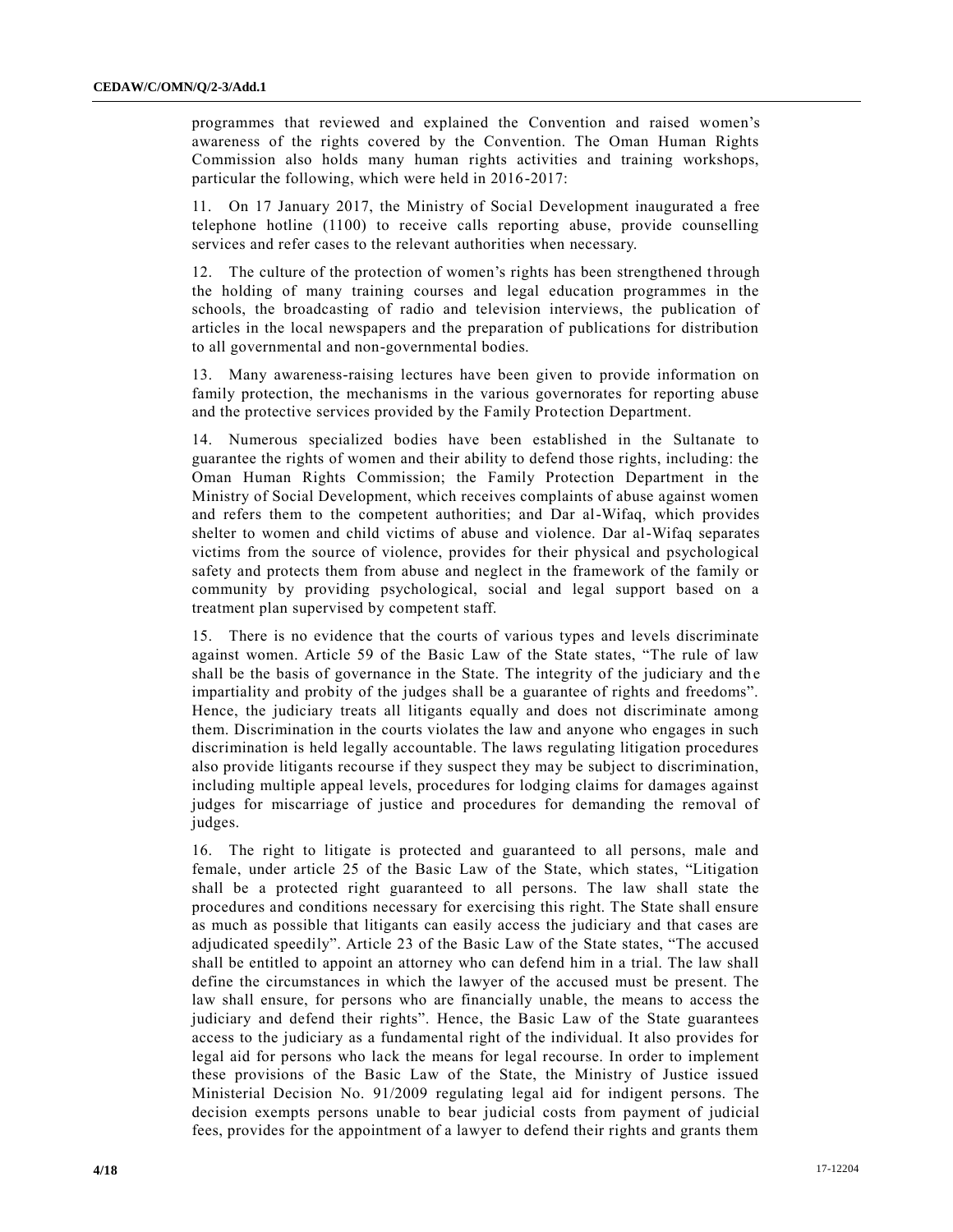programmes that reviewed and explained the Convention and raised women's awareness of the rights covered by the Convention. The Oman Human Rights Commission also holds many human rights activities and training workshops, particular the following, which were held in 2016-2017:

11. On 17 January 2017, the Ministry of Social Development inaugurated a free telephone hotline (1100) to receive calls reporting abuse, provide counselling services and refer cases to the relevant authorities when necessary.

12. The culture of the protection of women's rights has been strengthened through the holding of many training courses and legal education programmes in the schools, the broadcasting of radio and television interviews, the publication of articles in the local newspapers and the preparation of publications for distribution to all governmental and non-governmental bodies.

13. Many awareness-raising lectures have been given to provide information on family protection, the mechanisms in the various governorates for reporting abuse and the protective services provided by the Family Protection Department.

14. Numerous specialized bodies have been established in the Sultanate to guarantee the rights of women and their ability to defend those rights, including: the Oman Human Rights Commission; the Family Protection Department in the Ministry of Social Development, which receives complaints of abuse against women and refers them to the competent authorities; and Dar al-Wifaq, which provides shelter to women and child victims of abuse and violence. Dar al-Wifaq separates victims from the source of violence, provides for their physical and psychological safety and protects them from abuse and neglect in the framework of the family or community by providing psychological, social and legal support based on a treatment plan supervised by competent staff.

15. There is no evidence that the courts of various types and levels discriminate against women. Article 59 of the Basic Law of the State states, "The rule of law shall be the basis of governance in the State. The integrity of the judiciary and the impartiality and probity of the judges shall be a guarantee of rights and freedoms". Hence, the judiciary treats all litigants equally and does not discriminate among them. Discrimination in the courts violates the law and anyone who engages in such discrimination is held legally accountable. The laws regulating litigation procedures also provide litigants recourse if they suspect they may be subject to discrimination, including multiple appeal levels, procedures for lodging claims for damages against judges for miscarriage of justice and procedures for demanding the removal of judges.

16. The right to litigate is protected and guaranteed to all persons, male and female, under article 25 of the Basic Law of the State, which states, "Litigation shall be a protected right guaranteed to all persons. The law shall state the procedures and conditions necessary for exercising this right. The State shall ensure as much as possible that litigants can easily access the judiciary and that cases are adjudicated speedily". Article 23 of the Basic Law of the State states, "The accused shall be entitled to appoint an attorney who can defend him in a trial. The law shall define the circumstances in which the lawyer of the accused must be present. The law shall ensure, for persons who are financially unable, the means to access the judiciary and defend their rights". Hence, the Basic Law of the State guarantees access to the judiciary as a fundamental right of the individual. It also provides for legal aid for persons who lack the means for legal recourse. In order to implement these provisions of the Basic Law of the State, the Ministry of Justice issued Ministerial Decision No. 91/2009 regulating legal aid for indigent persons. The decision exempts persons unable to bear judicial costs from payment of judicial fees, provides for the appointment of a lawyer to defend their rights and grants them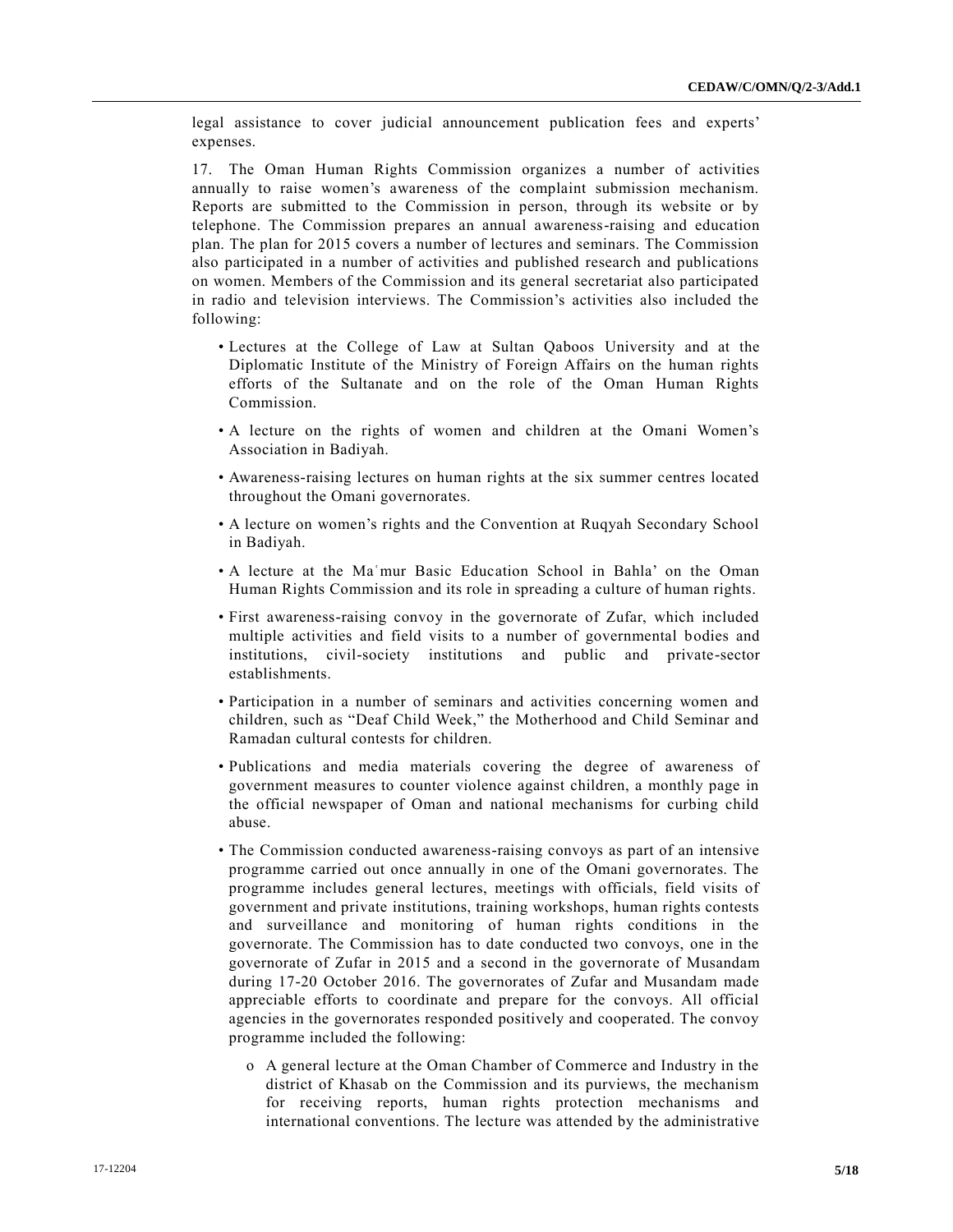legal assistance to cover judicial announcement publication fees and experts' expenses.

17. The Oman Human Rights Commission organizes a number of activities annually to raise women's awareness of the complaint submission mechanism. Reports are submitted to the Commission in person, through its website or by telephone. The Commission prepares an annual awareness-raising and education plan. The plan for 2015 covers a number of lectures and seminars. The Commission also participated in a number of activities and published research and publications on women. Members of the Commission and its general secretariat also participated in radio and television interviews. The Commission's activities also included the following:

- Lectures at the College of Law at Sultan Qaboos University and at the Diplomatic Institute of the Ministry of Foreign Affairs on the human rights efforts of the Sultanate and on the role of the Oman Human Rights Commission.
- A lecture on the rights of women and children at the Omani Women's Association in Badiyah.
- Awareness-raising lectures on human rights at the six summer centres located throughout the Omani governorates.
- A lecture on women's rights and the Convention at Ruqyah Secondary School in Badiyah.
- A lecture at the Maʿmur Basic Education School in Bahla' on the Oman Human Rights Commission and its role in spreading a culture of human rights.
- First awareness-raising convoy in the governorate of Zufar, which included multiple activities and field visits to a number of governmental bodies and institutions, civil-society institutions and public and private-sector establishments.
- Participation in a number of seminars and activities concerning women and children, such as "Deaf Child Week," the Motherhood and Child Seminar and Ramadan cultural contests for children.
- Publications and media materials covering the degree of awareness of government measures to counter violence against children, a monthly page in the official newspaper of Oman and national mechanisms for curbing child abuse.
- The Commission conducted awareness-raising convoys as part of an intensive programme carried out once annually in one of the Omani governorates. The programme includes general lectures, meetings with officials, field visits of government and private institutions, training workshops, human rights contests and surveillance and monitoring of human rights conditions in the governorate. The Commission has to date conducted two convoys, one in the governorate of Zufar in 2015 and a second in the governorate of Musandam during 17-20 October 2016. The governorates of Zufar and Musandam made appreciable efforts to coordinate and prepare for the convoys. All official agencies in the governorates responded positively and cooperated. The convoy programme included the following:
	- o A general lecture at the Oman Chamber of Commerce and Industry in the district of Khasab on the Commission and its purviews, the mechanism for receiving reports, human rights protection mechanisms and international conventions. The lecture was attended by the administrative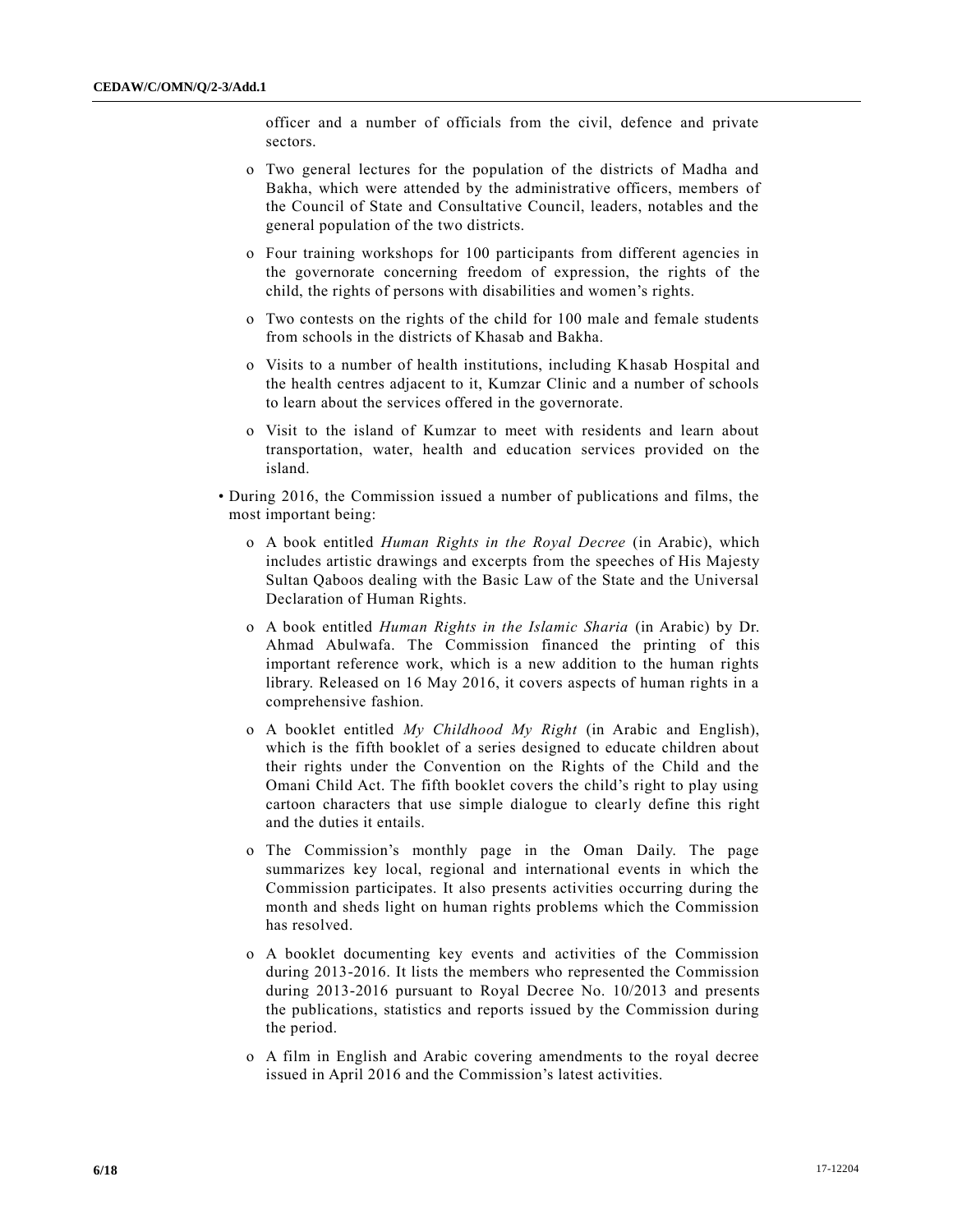officer and a number of officials from the civil, defence and private sectors.

- o Two general lectures for the population of the districts of Madha and Bakha, which were attended by the administrative officers, members of the Council of State and Consultative Council, leaders, notables and the general population of the two districts.
- o Four training workshops for 100 participants from different agencies in the governorate concerning freedom of expression, the rights of the child, the rights of persons with disabilities and women's rights.
- o Two contests on the rights of the child for 100 male and female students from schools in the districts of Khasab and Bakha.
- o Visits to a number of health institutions, including Khasab Hospital and the health centres adjacent to it, Kumzar Clinic and a number of schools to learn about the services offered in the governorate.
- o Visit to the island of Kumzar to meet with residents and learn about transportation, water, health and education services provided on the island.
- During 2016, the Commission issued a number of publications and films, the most important being:
	- o A book entitled *Human Rights in the Royal Decree* (in Arabic), which includes artistic drawings and excerpts from the speeches of His Majesty Sultan Qaboos dealing with the Basic Law of the State and the Universal Declaration of Human Rights.
	- o A book entitled *Human Rights in the Islamic Sharia* (in Arabic) by Dr. Ahmad Abulwafa. The Commission financed the printing of this important reference work, which is a new addition to the human rights library. Released on 16 May 2016, it covers aspects of human rights in a comprehensive fashion.
	- o A booklet entitled *My Childhood My Right* (in Arabic and English), which is the fifth booklet of a series designed to educate children about their rights under the Convention on the Rights of the Child and the Omani Child Act. The fifth booklet covers the child's right to play using cartoon characters that use simple dialogue to clearly define this right and the duties it entails.
	- o The Commission's monthly page in the Oman Daily. The page summarizes key local, regional and international events in which the Commission participates. It also presents activities occurring during the month and sheds light on human rights problems which the Commission has resolved.
	- o A booklet documenting key events and activities of the Commission during 2013-2016. It lists the members who represented the Commission during 2013-2016 pursuant to Royal Decree No. 10/2013 and presents the publications, statistics and reports issued by the Commission during the period.
	- o A film in English and Arabic covering amendments to the royal decree issued in April 2016 and the Commission's latest activities.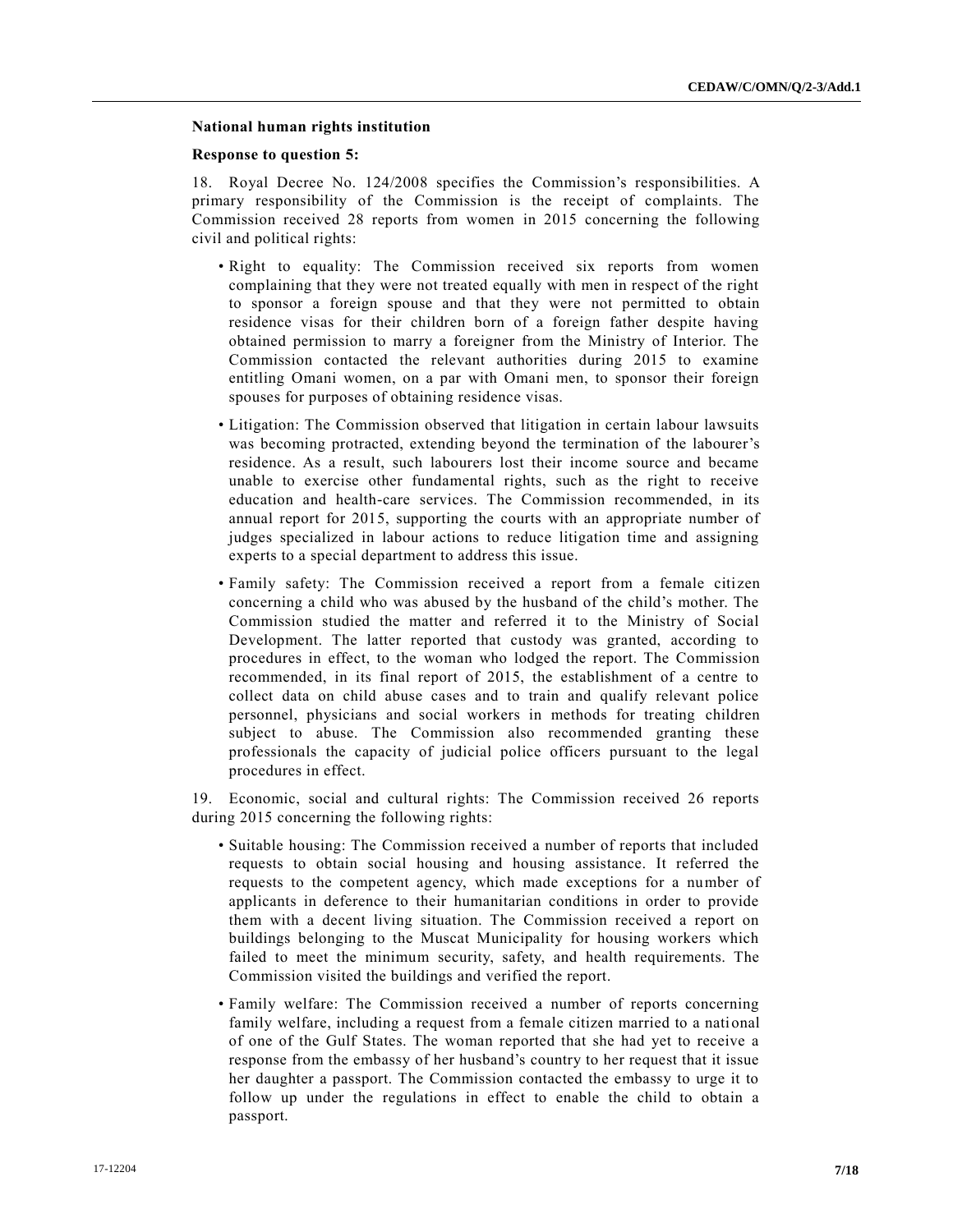# **National human rights institution**

#### **Response to question 5:**

18. Royal Decree No. 124/2008 specifies the Commission's responsibilities. A primary responsibility of the Commission is the receipt of complaints. The Commission received 28 reports from women in 2015 concerning the following civil and political rights:

- Right to equality: The Commission received six reports from women complaining that they were not treated equally with men in respect of the right to sponsor a foreign spouse and that they were not permitted to obtain residence visas for their children born of a foreign father despite having obtained permission to marry a foreigner from the Ministry of Interior. The Commission contacted the relevant authorities during 2015 to examine entitling Omani women, on a par with Omani men, to sponsor their foreign spouses for purposes of obtaining residence visas.
- Litigation: The Commission observed that litigation in certain labour lawsuits was becoming protracted, extending beyond the termination of the labourer's residence. As a result, such labourers lost their income source and became unable to exercise other fundamental rights, such as the right to receive education and health-care services. The Commission recommended, in its annual report for 2015, supporting the courts with an appropriate number of judges specialized in labour actions to reduce litigation time and assigning experts to a special department to address this issue.
- Family safety: The Commission received a report from a female citizen concerning a child who was abused by the husband of the child's mother. The Commission studied the matter and referred it to the Ministry of Social Development. The latter reported that custody was granted, according to procedures in effect, to the woman who lodged the report. The Commission recommended, in its final report of 2015, the establishment of a centre to collect data on child abuse cases and to train and qualify relevant police personnel, physicians and social workers in methods for treating children subject to abuse. The Commission also recommended granting these professionals the capacity of judicial police officers pursuant to the legal procedures in effect.

19. Economic, social and cultural rights: The Commission received 26 reports during 2015 concerning the following rights:

- Suitable housing: The Commission received a number of reports that included requests to obtain social housing and housing assistance. It referred the requests to the competent agency, which made exceptions for a number of applicants in deference to their humanitarian conditions in order to provide them with a decent living situation. The Commission received a report on buildings belonging to the Muscat Municipality for housing workers which failed to meet the minimum security, safety, and health requirements. The Commission visited the buildings and verified the report.
- Family welfare: The Commission received a number of reports concerning family welfare, including a request from a female citizen married to a national of one of the Gulf States. The woman reported that she had yet to receive a response from the embassy of her husband's country to her request that it issue her daughter a passport. The Commission contacted the embassy to urge it to follow up under the regulations in effect to enable the child to obtain a passport.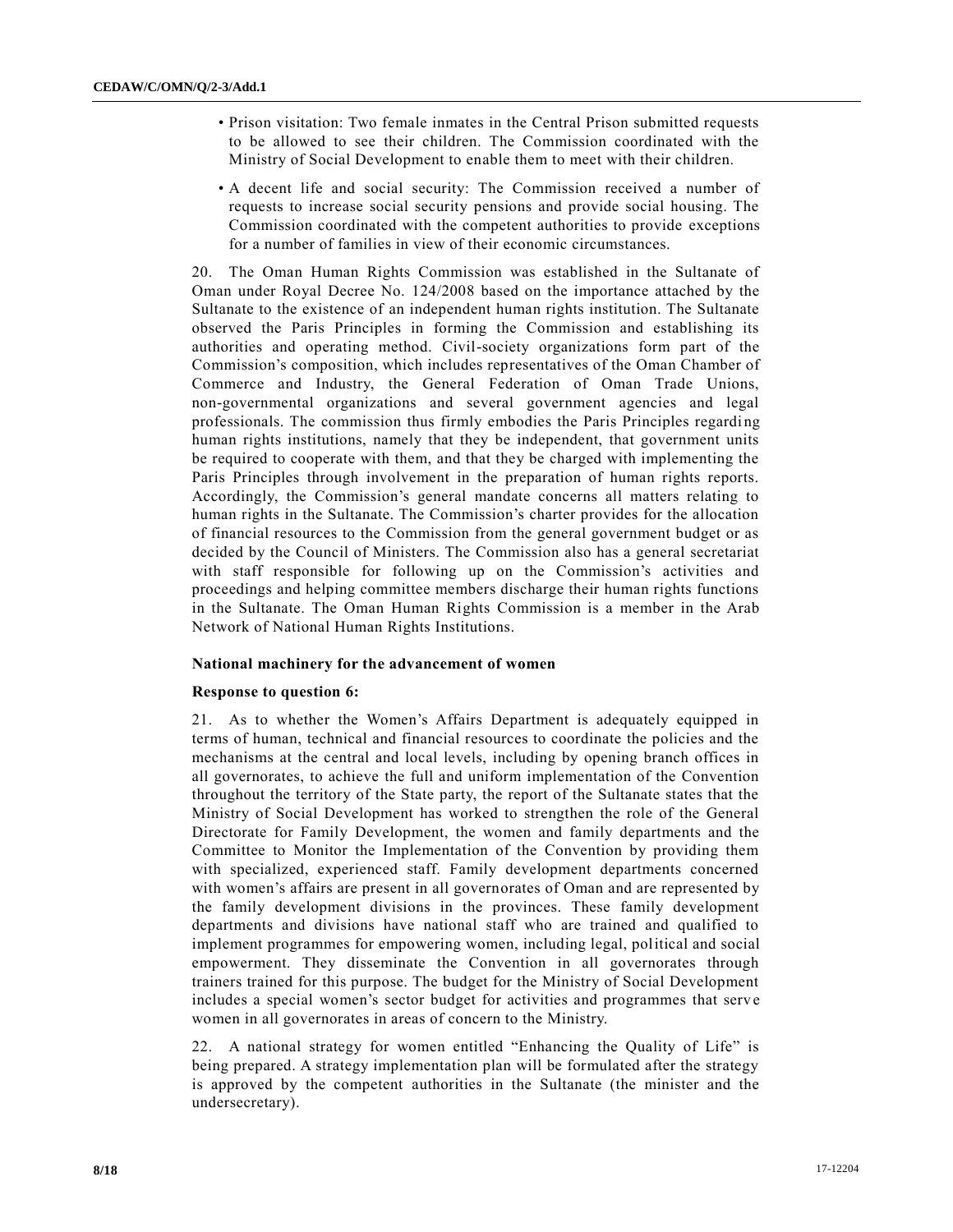- Prison visitation: Two female inmates in the Central Prison submitted requests to be allowed to see their children. The Commission coordinated with the Ministry of Social Development to enable them to meet with their children.
- A decent life and social security: The Commission received a number of requests to increase social security pensions and provide social housing. The Commission coordinated with the competent authorities to provide exceptions for a number of families in view of their economic circumstances.

20. The Oman Human Rights Commission was established in the Sultanate of Oman under Royal Decree No. 124/2008 based on the importance attached by the Sultanate to the existence of an independent human rights institution. The Sultanate observed the Paris Principles in forming the Commission and establishing its authorities and operating method. Civil-society organizations form part of the Commission's composition, which includes representatives of the Oman Chamber of Commerce and Industry, the General Federation of Oman Trade Unions, non-governmental organizations and several government agencies and legal professionals. The commission thus firmly embodies the Paris Principles regardi ng human rights institutions, namely that they be independent, that government units be required to cooperate with them, and that they be charged with implementing the Paris Principles through involvement in the preparation of human rights reports. Accordingly, the Commission's general mandate concerns all matters relating to human rights in the Sultanate. The Commission's charter provides for the allocation of financial resources to the Commission from the general government budget or as decided by the Council of Ministers. The Commission also has a general secretariat with staff responsible for following up on the Commission's activities and proceedings and helping committee members discharge their human rights functions in the Sultanate. The Oman Human Rights Commission is a member in the Arab Network of National Human Rights Institutions.

# **National machinery for the advancement of women**

# **Response to question 6:**

21. As to whether the Women's Affairs Department is adequately equipped in terms of human, technical and financial resources to coordinate the policies and the mechanisms at the central and local levels, including by opening branch offices in all governorates, to achieve the full and uniform implementation of the Convention throughout the territory of the State party, the report of the Sultanate states that the Ministry of Social Development has worked to strengthen the role of the General Directorate for Family Development, the women and family departments and the Committee to Monitor the Implementation of the Convention by providing them with specialized, experienced staff. Family development departments concerned with women's affairs are present in all governorates of Oman and are represented by the family development divisions in the provinces. These family development departments and divisions have national staff who are trained and qualified to implement programmes for empowering women, including legal, political and social empowerment. They disseminate the Convention in all governorates through trainers trained for this purpose. The budget for the Ministry of Social Development includes a special women's sector budget for activities and programmes that serv e women in all governorates in areas of concern to the Ministry.

22. A national strategy for women entitled "Enhancing the Quality of Life" is being prepared. A strategy implementation plan will be formulated after the strategy is approved by the competent authorities in the Sultanate (the minister and the undersecretary).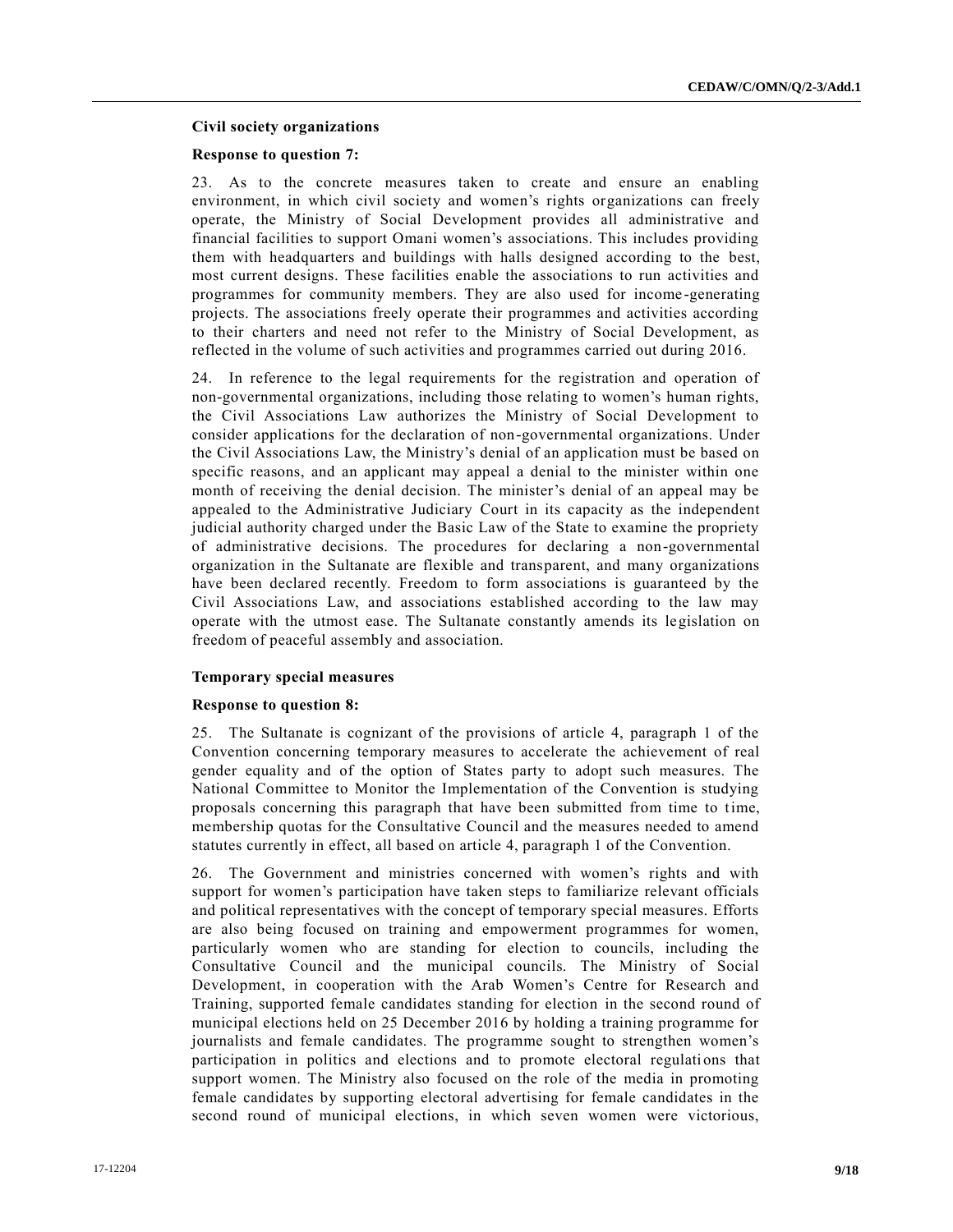# **Civil society organizations**

# **Response to question 7:**

23. As to the concrete measures taken to create and ensure an enabling environment, in which civil society and women's rights organizations can freely operate, the Ministry of Social Development provides all administrative and financial facilities to support Omani women's associations. This includes providing them with headquarters and buildings with halls designed according to the best, most current designs. These facilities enable the associations to run activities and programmes for community members. They are also used for income -generating projects. The associations freely operate their programmes and activities according to their charters and need not refer to the Ministry of Social Development, as reflected in the volume of such activities and programmes carried out during 2016.

24. In reference to the legal requirements for the registration and operation of non-governmental organizations, including those relating to women's human rights, the Civil Associations Law authorizes the Ministry of Social Development to consider applications for the declaration of non-governmental organizations. Under the Civil Associations Law, the Ministry's denial of an application must be based on specific reasons, and an applicant may appeal a denial to the minister within one month of receiving the denial decision. The minister's denial of an appeal may be appealed to the Administrative Judiciary Court in its capacity as the independent judicial authority charged under the Basic Law of the State to examine the propriety of administrative decisions. The procedures for declaring a non-governmental organization in the Sultanate are flexible and transparent, and many organizations have been declared recently. Freedom to form associations is guaranteed by the Civil Associations Law, and associations established according to the law may operate with the utmost ease. The Sultanate constantly amends its legislation on freedom of peaceful assembly and association.

# **Temporary special measures**

# **Response to question 8:**

25. The Sultanate is cognizant of the provisions of article 4, paragraph 1 of the Convention concerning temporary measures to accelerate the achievement of real gender equality and of the option of States party to adopt such measures. The National Committee to Monitor the Implementation of the Convention is studying proposals concerning this paragraph that have been submitted from time to time, membership quotas for the Consultative Council and the measures needed to amend statutes currently in effect, all based on article 4, paragraph 1 of the Convention.

26. The Government and ministries concerned with women's rights and with support for women's participation have taken steps to familiarize relevant officials and political representatives with the concept of temporary special measures. Efforts are also being focused on training and empowerment programmes for women, particularly women who are standing for election to councils, including the Consultative Council and the municipal councils. The Ministry of Social Development, in cooperation with the Arab Women's Centre for Research and Training, supported female candidates standing for election in the second round of municipal elections held on 25 December 2016 by holding a training programme for journalists and female candidates. The programme sought to strengthen women's participation in politics and elections and to promote electoral regulations that support women. The Ministry also focused on the role of the media in promoting female candidates by supporting electoral advertising for female candidates in the second round of municipal elections, in which seven women were victorious,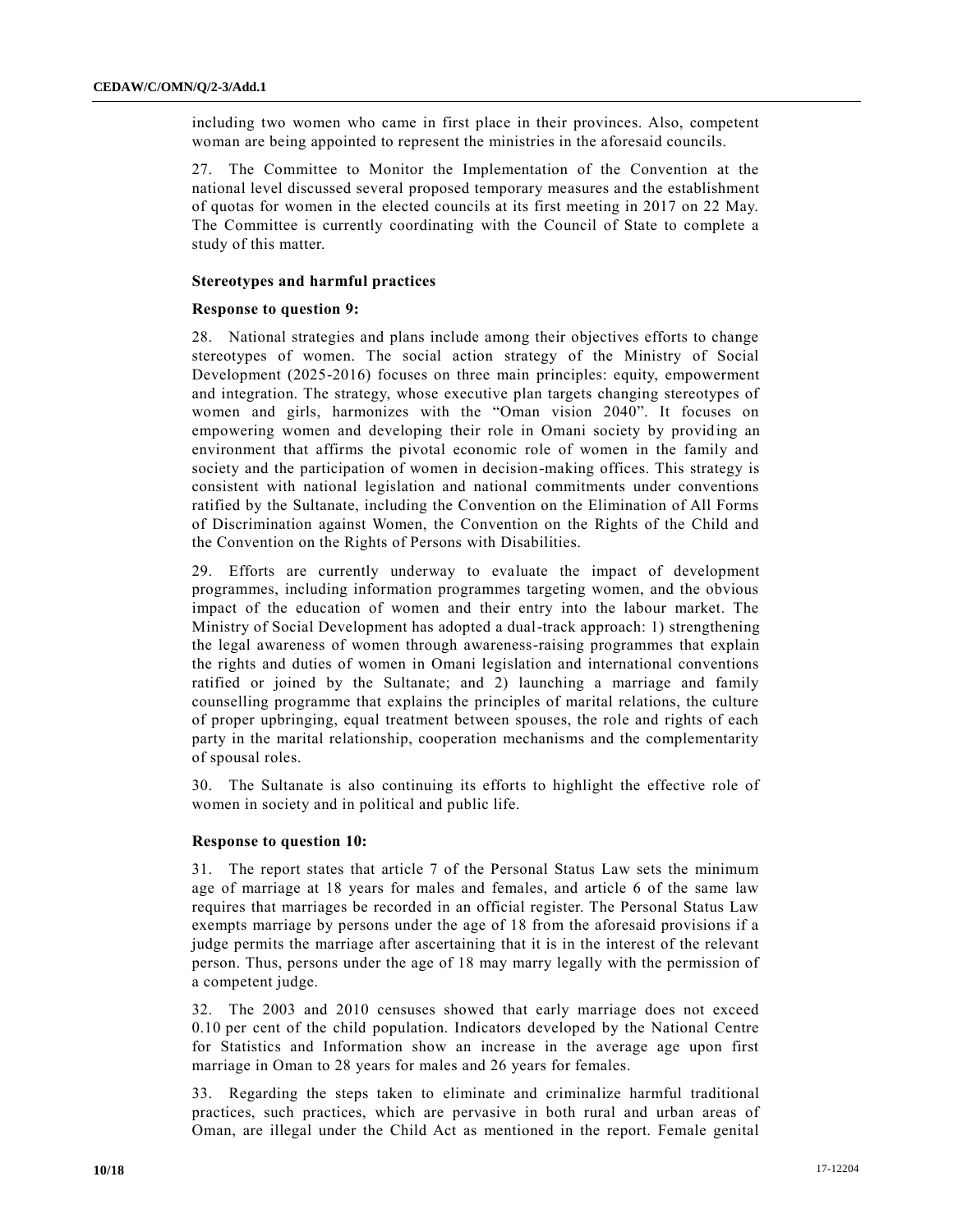including two women who came in first place in their provinces. Also, competent woman are being appointed to represent the ministries in the aforesaid councils.

27. The Committee to Monitor the Implementation of the Convention at the national level discussed several proposed temporary measures and the establishment of quotas for women in the elected councils at its first meeting in 2017 on 22 May. The Committee is currently coordinating with the Council of State to complete a study of this matter.

# **Stereotypes and harmful practices**

# **Response to question 9:**

28. National strategies and plans include among their objectives efforts to change stereotypes of women. The social action strategy of the Ministry of Social Development (2025-2016) focuses on three main principles: equity, empowerment and integration. The strategy, whose executive plan targets changing stereotypes of women and girls, harmonizes with the "Oman vision 2040". It focuses on empowering women and developing their role in Omani society by providing an environment that affirms the pivotal economic role of women in the family and society and the participation of women in decision-making offices. This strategy is consistent with national legislation and national commitments under conventions ratified by the Sultanate, including the Convention on the Elimination of All Forms of Discrimination against Women, the Convention on the Rights of the Child and the Convention on the Rights of Persons with Disabilities.

29. Efforts are currently underway to evaluate the impact of development programmes, including information programmes targeting women, and the obvious impact of the education of women and their entry into the labour market. The Ministry of Social Development has adopted a dual-track approach: 1) strengthening the legal awareness of women through awareness-raising programmes that explain the rights and duties of women in Omani legislation and international conventions ratified or joined by the Sultanate; and 2) launching a marriage and family counselling programme that explains the principles of marital relations, the culture of proper upbringing, equal treatment between spouses, the role and rights of each party in the marital relationship, cooperation mechanisms and the complementarity of spousal roles.

30. The Sultanate is also continuing its efforts to highlight the effective role of women in society and in political and public life.

# **Response to question 10:**

31. The report states that article 7 of the Personal Status Law sets the minimum age of marriage at 18 years for males and females, and article 6 of the same law requires that marriages be recorded in an official register. The Personal Status Law exempts marriage by persons under the age of 18 from the aforesaid provisions if a judge permits the marriage after ascertaining that it is in the interest of the relevant person. Thus, persons under the age of 18 may marry legally with the permission of a competent judge.

32. The 2003 and 2010 censuses showed that early marriage does not exceed 0.10 per cent of the child population. Indicators developed by the National Centre for Statistics and Information show an increase in the average age upon first marriage in Oman to 28 years for males and 26 years for females.

33. Regarding the steps taken to eliminate and criminalize harmful traditional practices, such practices, which are pervasive in both rural and urban areas of Oman, are illegal under the Child Act as mentioned in the report. Female genital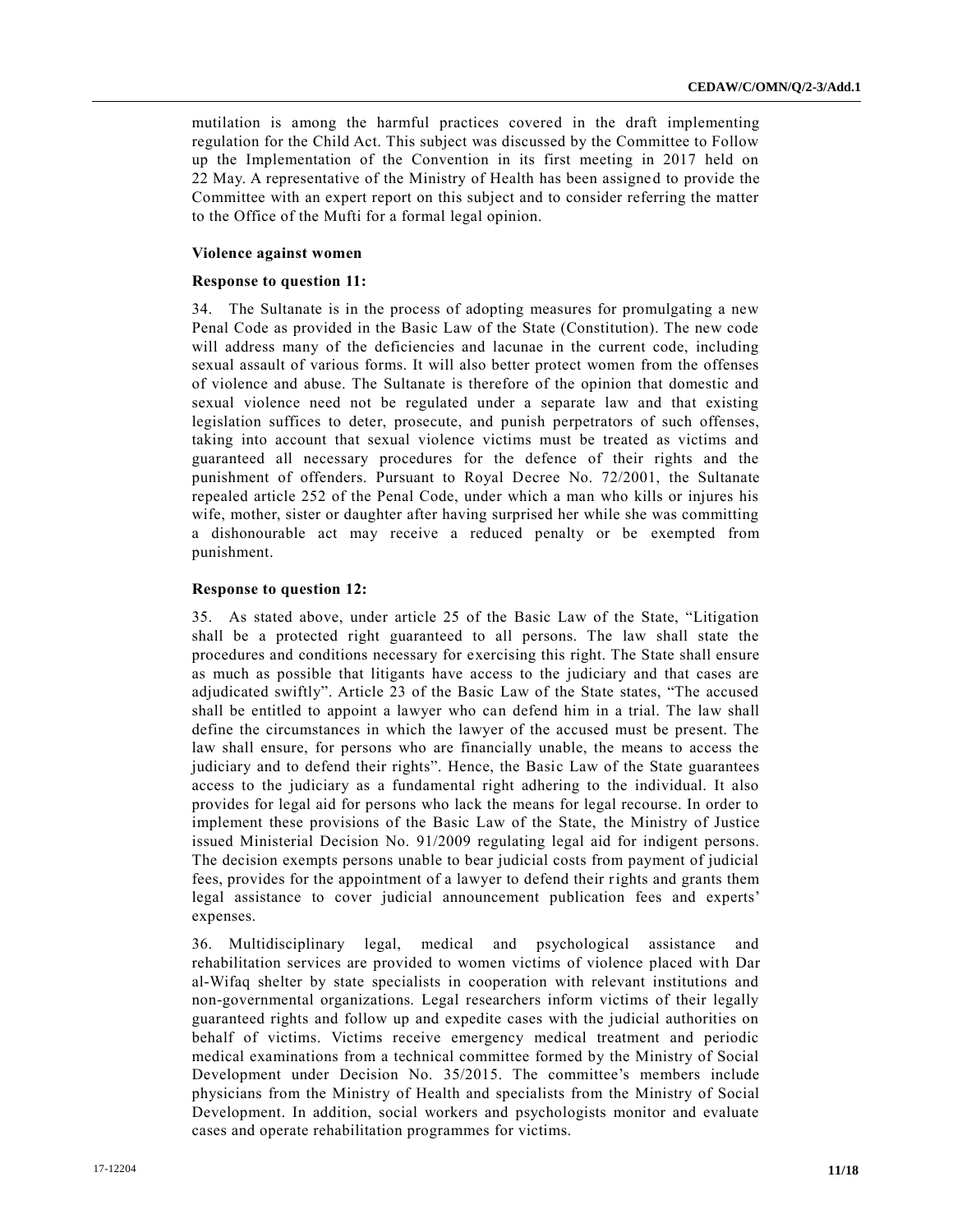mutilation is among the harmful practices covered in the draft implementing regulation for the Child Act. This subject was discussed by the Committee to Follow up the Implementation of the Convention in its first meeting in 2017 held on 22 May. A representative of the Ministry of Health has been assigned to provide the Committee with an expert report on this subject and to consider referring the matter to the Office of the Mufti for a formal legal opinion.

# **Violence against women**

# **Response to question 11:**

34. The Sultanate is in the process of adopting measures for promulgating a new Penal Code as provided in the Basic Law of the State (Constitution). The new code will address many of the deficiencies and lacunae in the current code, including sexual assault of various forms. It will also better protect women from the offenses of violence and abuse. The Sultanate is therefore of the opinion that domestic and sexual violence need not be regulated under a separate law and that existing legislation suffices to deter, prosecute, and punish perpetrators of such offenses, taking into account that sexual violence victims must be treated as victims and guaranteed all necessary procedures for the defence of their rights and the punishment of offenders. Pursuant to Royal Decree No. 72/2001, the Sultanate repealed article 252 of the Penal Code, under which a man who kills or injures his wife, mother, sister or daughter after having surprised her while she was committing a dishonourable act may receive a reduced penalty or be exempted from punishment.

# **Response to question 12:**

35. As stated above, under article 25 of the Basic Law of the State, "Litigation shall be a protected right guaranteed to all persons. The law shall state the procedures and conditions necessary for exercising this right. The State shall ensure as much as possible that litigants have access to the judiciary and that cases are adjudicated swiftly". Article 23 of the Basic Law of the State states, "The accused shall be entitled to appoint a lawyer who can defend him in a trial. The law shall define the circumstances in which the lawyer of the accused must be present. The law shall ensure, for persons who are financially unable, the means to access the judiciary and to defend their rights". Hence, the Basic Law of the State guarantees access to the judiciary as a fundamental right adhering to the individual. It also provides for legal aid for persons who lack the means for legal recourse. In order to implement these provisions of the Basic Law of the State, the Ministry of Justice issued Ministerial Decision No. 91/2009 regulating legal aid for indigent persons. The decision exempts persons unable to bear judicial costs from payment of judicial fees, provides for the appointment of a lawyer to defend their rights and grants them legal assistance to cover judicial announcement publication fees and experts' expenses.

36. Multidisciplinary legal, medical and psychological assistance and rehabilitation services are provided to women victims of violence placed with Dar al-Wifaq shelter by state specialists in cooperation with relevant institutions and non-governmental organizations. Legal researchers inform victims of their legally guaranteed rights and follow up and expedite cases with the judicial authorities on behalf of victims. Victims receive emergency medical treatment and periodic medical examinations from a technical committee formed by the Ministry of Social Development under Decision No. 35/2015. The committee's members include physicians from the Ministry of Health and specialists from the Ministry of Social Development. In addition, social workers and psychologists monitor and evaluate cases and operate rehabilitation programmes for victims.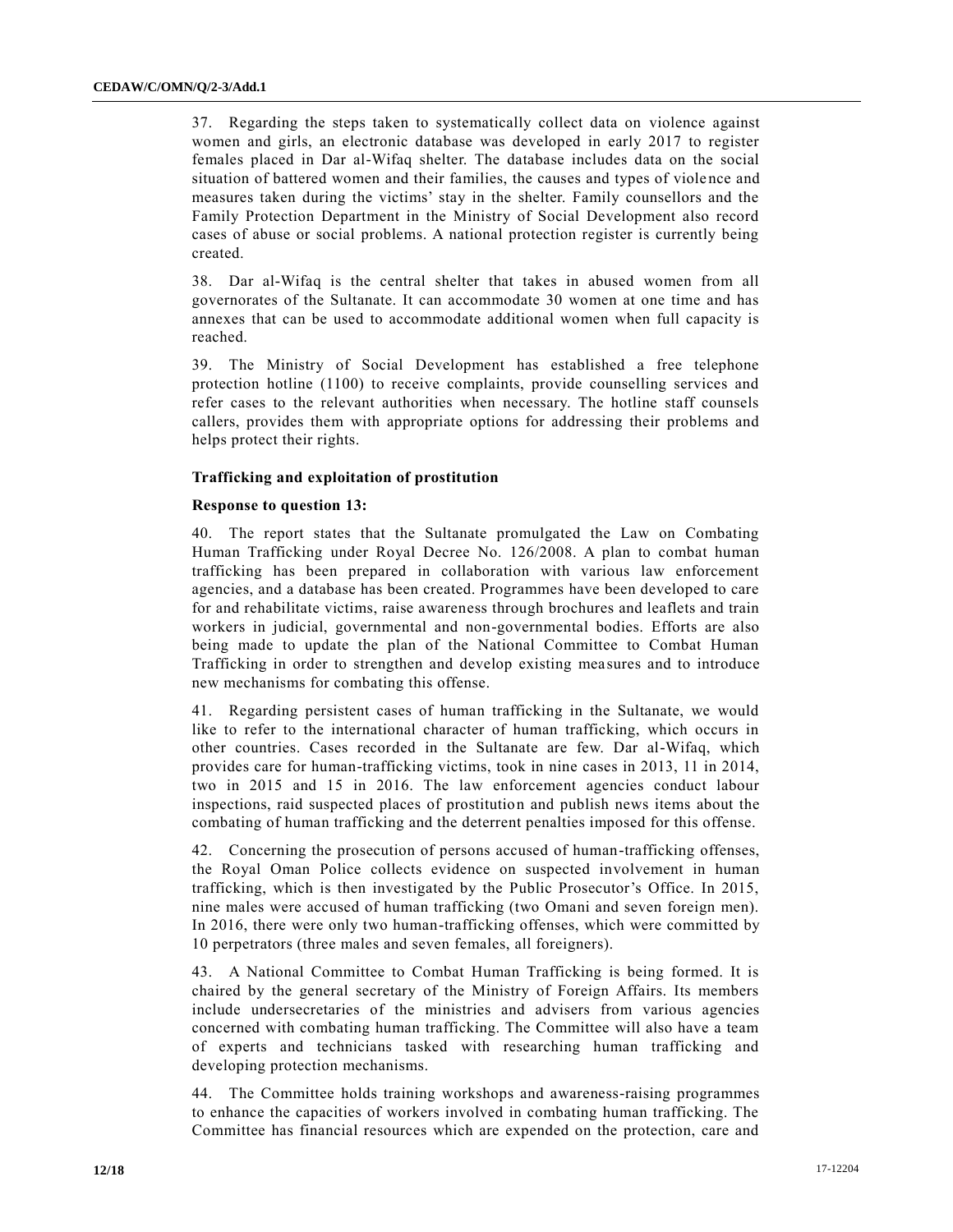37. Regarding the steps taken to systematically collect data on violence against women and girls, an electronic database was developed in early 2017 to register females placed in Dar al-Wifaq shelter. The database includes data on the social situation of battered women and their families, the causes and types of viole nce and measures taken during the victims' stay in the shelter. Family counsellors and the Family Protection Department in the Ministry of Social Development also record cases of abuse or social problems. A national protection register is currently being created.

38. Dar al-Wifaq is the central shelter that takes in abused women from all governorates of the Sultanate. It can accommodate 30 women at one time and has annexes that can be used to accommodate additional women when full capacity is reached.

39. The Ministry of Social Development has established a free telephone protection hotline (1100) to receive complaints, provide counselling services and refer cases to the relevant authorities when necessary. The hotline staff counsels callers, provides them with appropriate options for addressing their problems and helps protect their rights.

# **Trafficking and exploitation of prostitution**

# **Response to question 13:**

40. The report states that the Sultanate promulgated the Law on Combating Human Trafficking under Royal Decree No. 126/2008. A plan to combat human trafficking has been prepared in collaboration with various law enforcement agencies, and a database has been created. Programmes have been developed to care for and rehabilitate victims, raise awareness through brochures and leaflets and train workers in judicial, governmental and non-governmental bodies. Efforts are also being made to update the plan of the National Committee to Combat Human Trafficking in order to strengthen and develop existing measures and to introduce new mechanisms for combating this offense.

41. Regarding persistent cases of human trafficking in the Sultanate, we would like to refer to the international character of human trafficking, which occurs in other countries. Cases recorded in the Sultanate are few. Dar al-Wifaq, which provides care for human-trafficking victims, took in nine cases in 2013, 11 in 2014, two in 2015 and 15 in 2016. The law enforcement agencies conduct labour inspections, raid suspected places of prostitution and publish news items about the combating of human trafficking and the deterrent penalties imposed for this offense.

42. Concerning the prosecution of persons accused of human-trafficking offenses, the Royal Oman Police collects evidence on suspected involvement in human trafficking, which is then investigated by the Public Prosecutor's Office. In 2015, nine males were accused of human trafficking (two Omani and seven foreign men). In 2016, there were only two human-trafficking offenses, which were committed by 10 perpetrators (three males and seven females, all foreigners).

43. A National Committee to Combat Human Trafficking is being formed. It is chaired by the general secretary of the Ministry of Foreign Affairs. Its members include undersecretaries of the ministries and advisers from various agencies concerned with combating human trafficking. The Committee will also have a team of experts and technicians tasked with researching human trafficking and developing protection mechanisms.

44. The Committee holds training workshops and awareness-raising programmes to enhance the capacities of workers involved in combating human trafficking. The Committee has financial resources which are expended on the protection, care and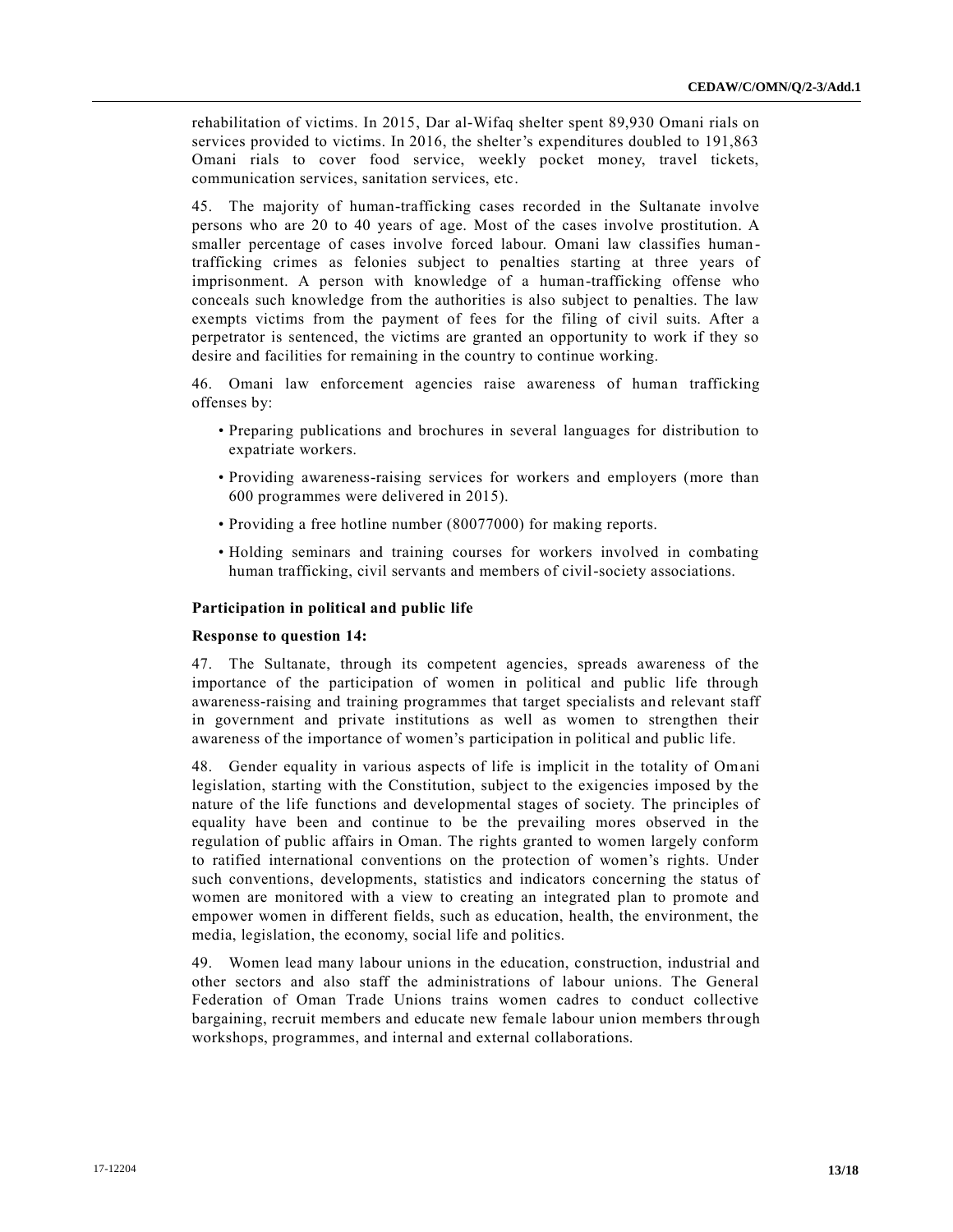rehabilitation of victims. In 2015, Dar al-Wifaq shelter spent 89,930 Omani rials on services provided to victims. In 2016, the shelter's expenditures doubled to 191,863 Omani rials to cover food service, weekly pocket money, travel tickets, communication services, sanitation services, etc.

45. The majority of human-trafficking cases recorded in the Sultanate involve persons who are 20 to 40 years of age. Most of the cases involve prostitution. A smaller percentage of cases involve forced labour. Omani law classifies human trafficking crimes as felonies subject to penalties starting at three years of imprisonment. A person with knowledge of a human-trafficking offense who conceals such knowledge from the authorities is also subject to penalties. The law exempts victims from the payment of fees for the filing of civil suits. After a perpetrator is sentenced, the victims are granted an opportunity to work if they so desire and facilities for remaining in the country to continue working.

46. Omani law enforcement agencies raise awareness of human trafficking offenses by:

- Preparing publications and brochures in several languages for distribution to expatriate workers.
- Providing awareness-raising services for workers and employers (more than 600 programmes were delivered in 2015).
- Providing a free hotline number (80077000) for making reports.
- Holding seminars and training courses for workers involved in combating human trafficking, civil servants and members of civil-society associations.

# **Participation in political and public life**

# **Response to question 14:**

47. The Sultanate, through its competent agencies, spreads awareness of the importance of the participation of women in political and public life through awareness-raising and training programmes that target specialists and relevant staff in government and private institutions as well as women to strengthen their awareness of the importance of women's participation in political and public life.

48. Gender equality in various aspects of life is implicit in the totality of Omani legislation, starting with the Constitution, subject to the exigencies imposed by the nature of the life functions and developmental stages of society. The principles of equality have been and continue to be the prevailing mores observed in the regulation of public affairs in Oman. The rights granted to women largely conform to ratified international conventions on the protection of women's rights. Under such conventions, developments, statistics and indicators concerning the status of women are monitored with a view to creating an integrated plan to promote and empower women in different fields, such as education, health, the environment, the media, legislation, the economy, social life and politics.

49. Women lead many labour unions in the education, construction, industrial and other sectors and also staff the administrations of labour unions. The General Federation of Oman Trade Unions trains women cadres to conduct collective bargaining, recruit members and educate new female labour union members through workshops, programmes, and internal and external collaborations.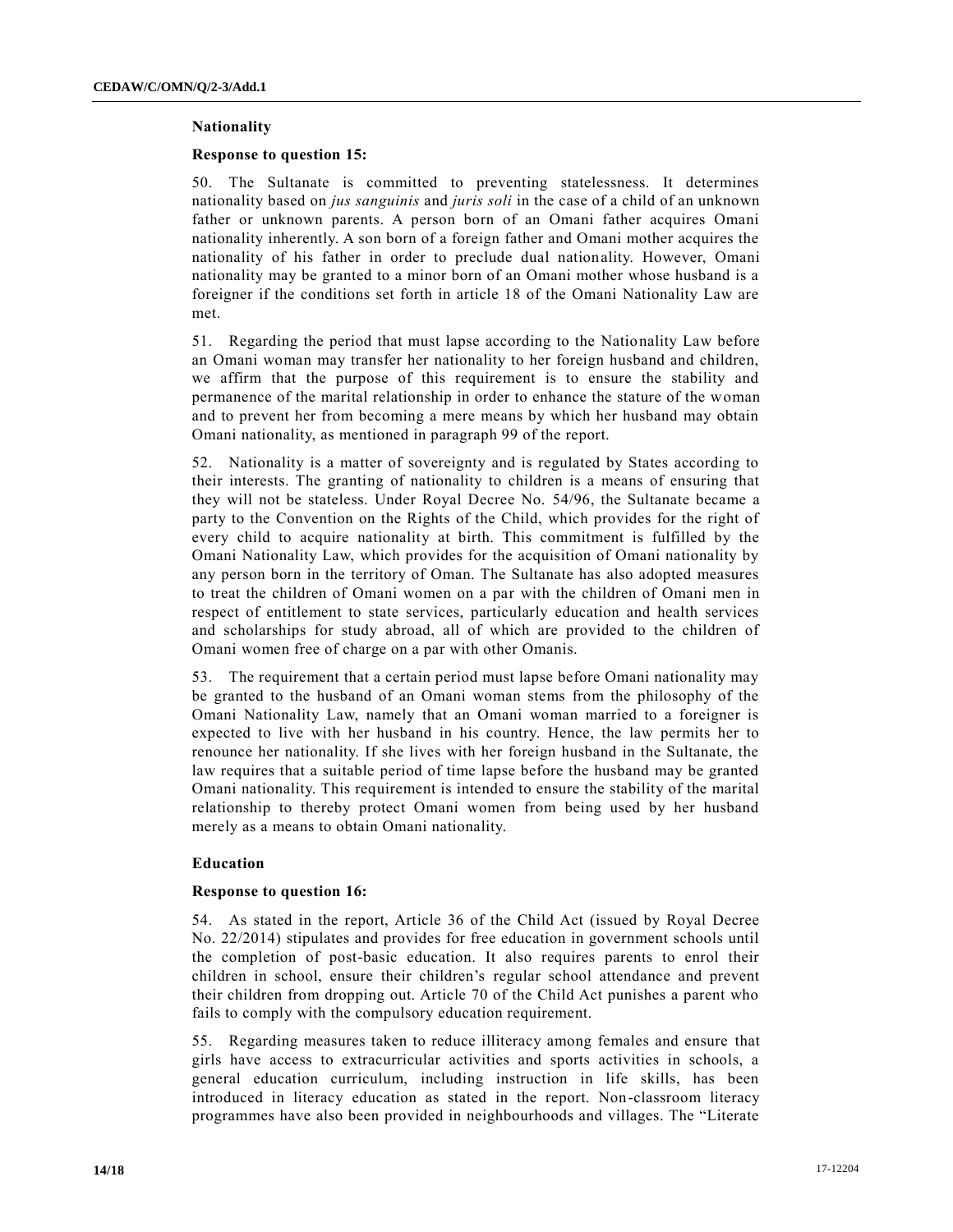# **Nationality**

# **Response to question 15:**

50. The Sultanate is committed to preventing statelessness. It determines nationality based on *jus sanguinis* and *juris soli* in the case of a child of an unknown father or unknown parents. A person born of an Omani father acquires Omani nationality inherently. A son born of a foreign father and Omani mother acquires the nationality of his father in order to preclude dual nationality. However, Omani nationality may be granted to a minor born of an Omani mother whose husband is a foreigner if the conditions set forth in article 18 of the Omani Nationality Law are met.

51. Regarding the period that must lapse according to the Nationality Law before an Omani woman may transfer her nationality to her foreign husband and children, we affirm that the purpose of this requirement is to ensure the stability and permanence of the marital relationship in order to enhance the stature of the woman and to prevent her from becoming a mere means by which her husband may obtain Omani nationality, as mentioned in paragraph 99 of the report.

52. Nationality is a matter of sovereignty and is regulated by States according to their interests. The granting of nationality to children is a means of ensuring that they will not be stateless. Under Royal Decree No. 54/96, the Sultanate became a party to the Convention on the Rights of the Child, which provides for the right of every child to acquire nationality at birth. This commitment is fulfilled by the Omani Nationality Law, which provides for the acquisition of Omani nationality by any person born in the territory of Oman. The Sultanate has also adopted measures to treat the children of Omani women on a par with the children of Omani men in respect of entitlement to state services, particularly education and health services and scholarships for study abroad, all of which are provided to the children of Omani women free of charge on a par with other Omanis.

53. The requirement that a certain period must lapse before Omani nationality may be granted to the husband of an Omani woman stems from the philosophy of the Omani Nationality Law, namely that an Omani woman married to a foreigner is expected to live with her husband in his country. Hence, the law permits her to renounce her nationality. If she lives with her foreign husband in the Sultanate, the law requires that a suitable period of time lapse before the husband may be granted Omani nationality. This requirement is intended to ensure the stability of the marital relationship to thereby protect Omani women from being used by her husband merely as a means to obtain Omani nationality.

# **Education**

# **Response to question 16:**

54. As stated in the report, Article 36 of the Child Act (issued by Royal Decree No. 22/2014) stipulates and provides for free education in government schools until the completion of post-basic education. It also requires parents to enrol their children in school, ensure their children's regular school attendance and prevent their children from dropping out. Article 70 of the Child Act punishes a parent who fails to comply with the compulsory education requirement.

55. Regarding measures taken to reduce illiteracy among females and ensure that girls have access to extracurricular activities and sports activities in schools, a general education curriculum, including instruction in life skills, has been introduced in literacy education as stated in the report. Non-classroom literacy programmes have also been provided in neighbourhoods and villages. The "Literate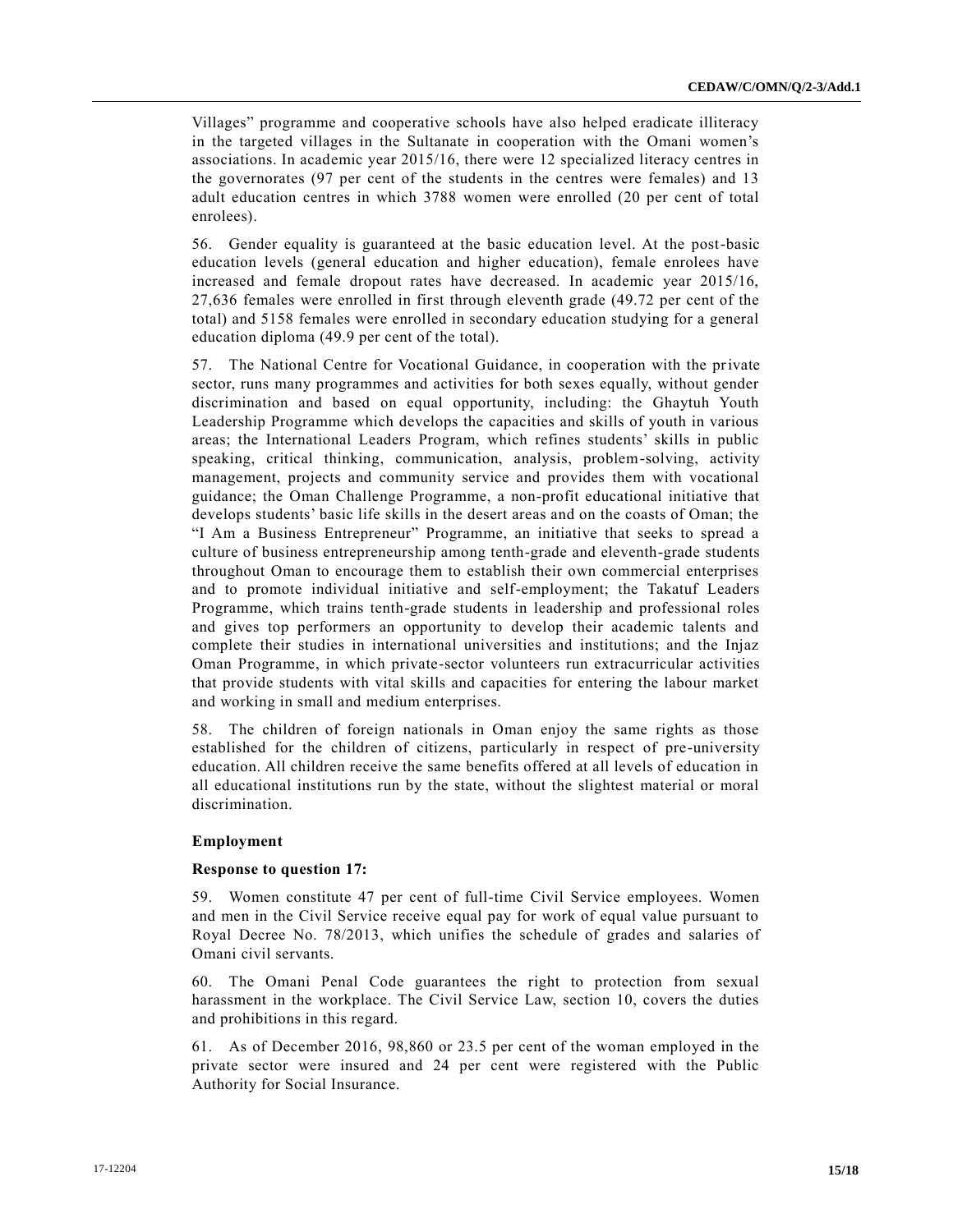Villages" programme and cooperative schools have also helped eradicate illiteracy in the targeted villages in the Sultanate in cooperation with the Omani women's associations. In academic year 2015/16, there were 12 specialized literacy centres in the governorates (97 per cent of the students in the centres were females) and 13 adult education centres in which 3788 women were enrolled (20 per cent of total enrolees).

56. Gender equality is guaranteed at the basic education level. At the post-basic education levels (general education and higher education), female enrolees have increased and female dropout rates have decreased. In academic year 2015/16, 27,636 females were enrolled in first through eleventh grade (49.72 per cent of the total) and 5158 females were enrolled in secondary education studying for a general education diploma (49.9 per cent of the total).

57. The National Centre for Vocational Guidance, in cooperation with the private sector, runs many programmes and activities for both sexes equally, without gender discrimination and based on equal opportunity, including: the Ghaytuh Youth Leadership Programme which develops the capacities and skills of youth in various areas; the International Leaders Program, which refines students' skills in public speaking, critical thinking, communication, analysis, problem-solving, activity management, projects and community service and provides them with vocational guidance; the Oman Challenge Programme, a non-profit educational initiative that develops students' basic life skills in the desert areas and on the coasts of Oman; the "I Am a Business Entrepreneur" Programme, an initiative that seeks to spread a culture of business entrepreneurship among tenth-grade and eleventh-grade students throughout Oman to encourage them to establish their own commercial enterprises and to promote individual initiative and self-employment; the Takatuf Leaders Programme, which trains tenth-grade students in leadership and professional roles and gives top performers an opportunity to develop their academic talents and complete their studies in international universities and institutions; and the Injaz Oman Programme, in which private-sector volunteers run extracurricular activities that provide students with vital skills and capacities for entering the labour market and working in small and medium enterprises.

58. The children of foreign nationals in Oman enjoy the same rights as those established for the children of citizens, particularly in respect of pre-university education. All children receive the same benefits offered at all levels of education in all educational institutions run by the state, without the slightest material or moral discrimination.

# **Employment**

# **Response to question 17:**

59. Women constitute 47 per cent of full-time Civil Service employees. Women and men in the Civil Service receive equal pay for work of equal value pursuant to Royal Decree No. 78/2013, which unifies the schedule of grades and salaries of Omani civil servants.

60. The Omani Penal Code guarantees the right to protection from sexual harassment in the workplace. The Civil Service Law, section 10, covers the duties and prohibitions in this regard.

61. As of December 2016, 98,860 or 23.5 per cent of the woman employed in the private sector were insured and 24 per cent were registered with the Public Authority for Social Insurance.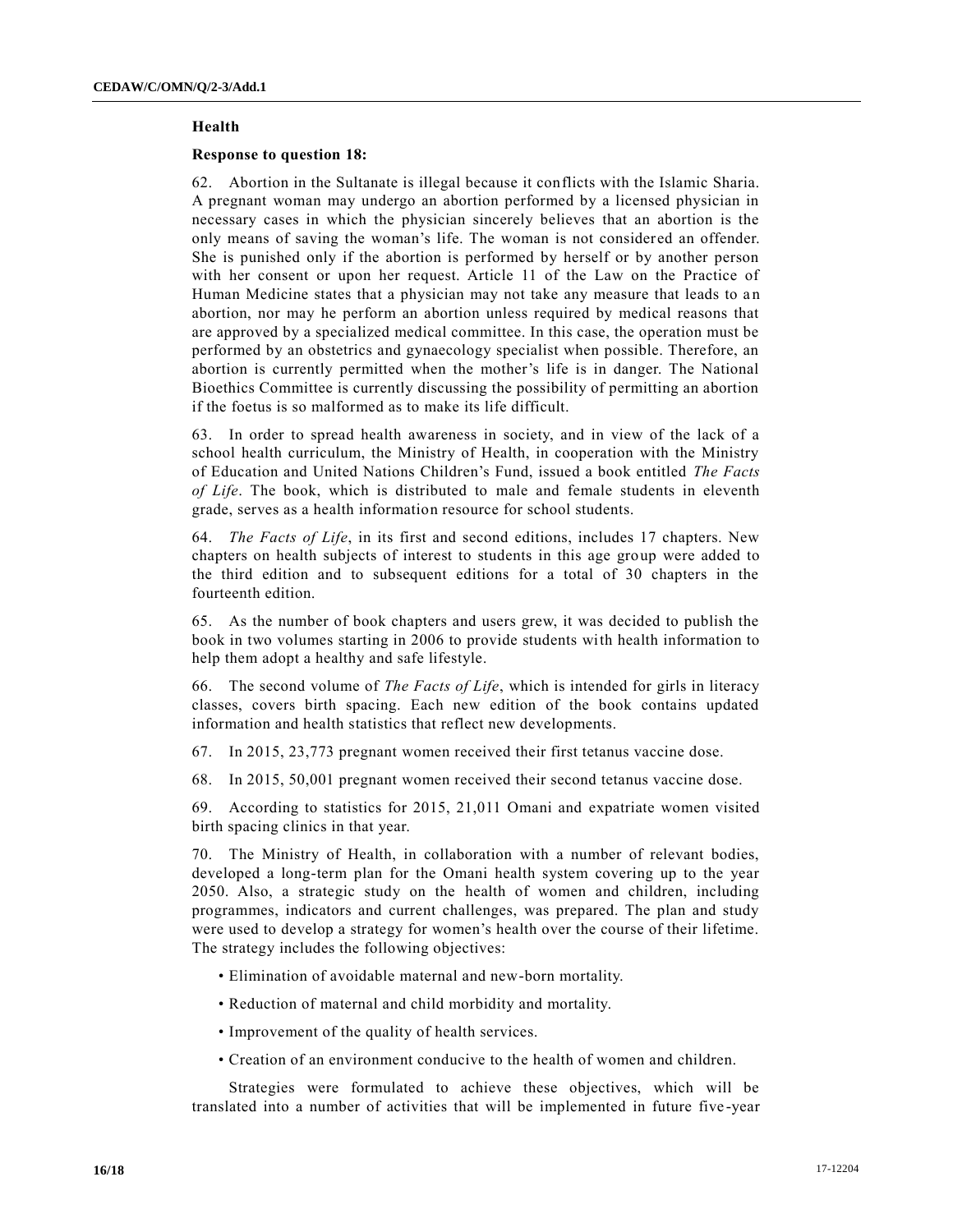# **Health**

# **Response to question 18:**

62. Abortion in the Sultanate is illegal because it conflicts with the Islamic Sharia. A pregnant woman may undergo an abortion performed by a licensed physician in necessary cases in which the physician sincerely believes that an abortion is the only means of saving the woman's life. The woman is not considered an offender. She is punished only if the abortion is performed by herself or by another person with her consent or upon her request. Article 11 of the Law on the Practice of Human Medicine states that a physician may not take any measure that leads to an abortion, nor may he perform an abortion unless required by medical reasons that are approved by a specialized medical committee. In this case, the operation must be performed by an obstetrics and gynaecology specialist when possible. Therefore, an abortion is currently permitted when the mother's life is in danger. The National Bioethics Committee is currently discussing the possibility of permitting an abortion if the foetus is so malformed as to make its life difficult.

63. In order to spread health awareness in society, and in view of the lack of a school health curriculum, the Ministry of Health, in cooperation with the Ministry of Education and United Nations Children's Fund, issued a book entitled *The Facts of Life*. The book, which is distributed to male and female students in eleventh grade, serves as a health information resource for school students.

64. *The Facts of Life*, in its first and second editions, includes 17 chapters. New chapters on health subjects of interest to students in this age group were added to the third edition and to subsequent editions for a total of 30 chapters in the fourteenth edition.

65. As the number of book chapters and users grew, it was decided to publish the book in two volumes starting in 2006 to provide students with health information to help them adopt a healthy and safe lifestyle.

66. The second volume of *The Facts of Life*, which is intended for girls in literacy classes, covers birth spacing. Each new edition of the book contains updated information and health statistics that reflect new developments.

67. In 2015, 23,773 pregnant women received their first tetanus vaccine dose.

68. In 2015, 50,001 pregnant women received their second tetanus vaccine dose.

69. According to statistics for 2015, 21,011 Omani and expatriate women visited birth spacing clinics in that year.

70. The Ministry of Health, in collaboration with a number of relevant bodies, developed a long-term plan for the Omani health system covering up to the year 2050. Also, a strategic study on the health of women and children, including programmes, indicators and current challenges, was prepared. The plan and study were used to develop a strategy for women's health over the course of their lifetime. The strategy includes the following objectives:

- Elimination of avoidable maternal and new-born mortality.
- Reduction of maternal and child morbidity and mortality.
- Improvement of the quality of health services.
- Creation of an environment conducive to the health of women and children.

Strategies were formulated to achieve these objectives, which will be translated into a number of activities that will be implemented in future five -year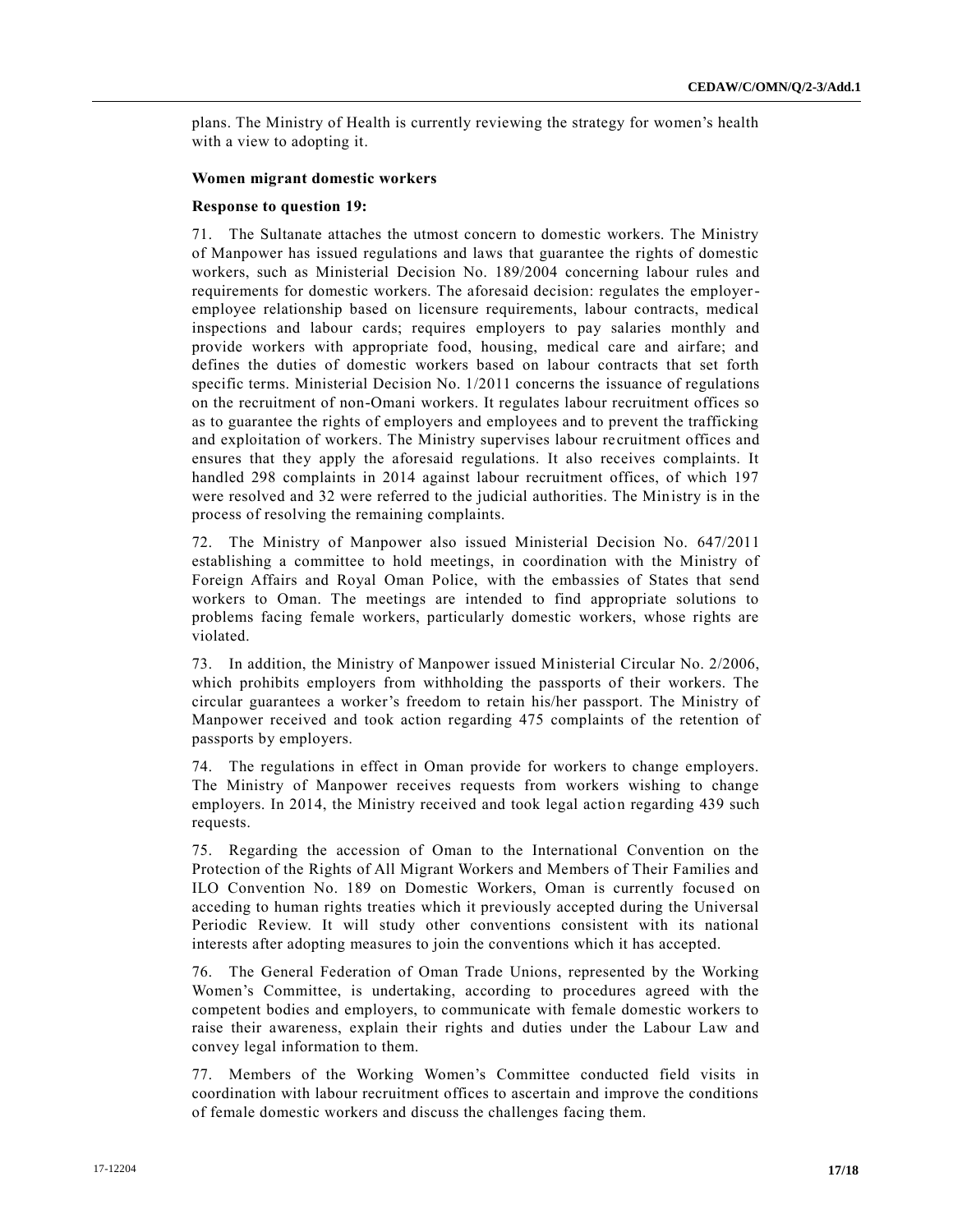plans. The Ministry of Health is currently reviewing the strategy for women's health with a view to adopting it.

# **Women migrant domestic workers**

# **Response to question 19:**

71. The Sultanate attaches the utmost concern to domestic workers. The Ministry of Manpower has issued regulations and laws that guarantee the rights of domestic workers, such as Ministerial Decision No. 189/2004 concerning labour rules and requirements for domestic workers. The aforesaid decision: regulates the employeremployee relationship based on licensure requirements, labour contracts, medical inspections and labour cards; requires employers to pay salaries monthly and provide workers with appropriate food, housing, medical care and airfare; and defines the duties of domestic workers based on labour contracts that set forth specific terms. Ministerial Decision No. 1/2011 concerns the issuance of regulations on the recruitment of non-Omani workers. It regulates labour recruitment offices so as to guarantee the rights of employers and employees and to prevent the trafficking and exploitation of workers. The Ministry supervises labour recruitment offices and ensures that they apply the aforesaid regulations. It also receives complaints. It handled 298 complaints in 2014 against labour recruitment offices, of which 197 were resolved and 32 were referred to the judicial authorities. The Ministry is in the process of resolving the remaining complaints.

72. The Ministry of Manpower also issued Ministerial Decision No. 647/2011 establishing a committee to hold meetings, in coordination with the Ministry of Foreign Affairs and Royal Oman Police, with the embassies of States that send workers to Oman. The meetings are intended to find appropriate solutions to problems facing female workers, particularly domestic workers, whose rights are violated.

73. In addition, the Ministry of Manpower issued Ministerial Circular No. 2/2006, which prohibits employers from withholding the passports of their workers. The circular guarantees a worker's freedom to retain his/her passport. The Ministry of Manpower received and took action regarding 475 complaints of the retention of passports by employers.

74. The regulations in effect in Oman provide for workers to change employers. The Ministry of Manpower receives requests from workers wishing to change employers. In 2014, the Ministry received and took legal action regarding 439 such requests.

75. Regarding the accession of Oman to the International Convention on the Protection of the Rights of All Migrant Workers and Members of Their Families and ILO Convention No. 189 on Domestic Workers, Oman is currently focused on acceding to human rights treaties which it previously accepted during the Universal Periodic Review. It will study other conventions consistent with its national interests after adopting measures to join the conventions which it has accepted.

76. The General Federation of Oman Trade Unions, represented by the Working Women's Committee, is undertaking, according to procedures agreed with the competent bodies and employers, to communicate with female domestic workers to raise their awareness, explain their rights and duties under the Labour Law and convey legal information to them.

77. Members of the Working Women's Committee conducted field visits in coordination with labour recruitment offices to ascertain and improve the conditions of female domestic workers and discuss the challenges facing them.